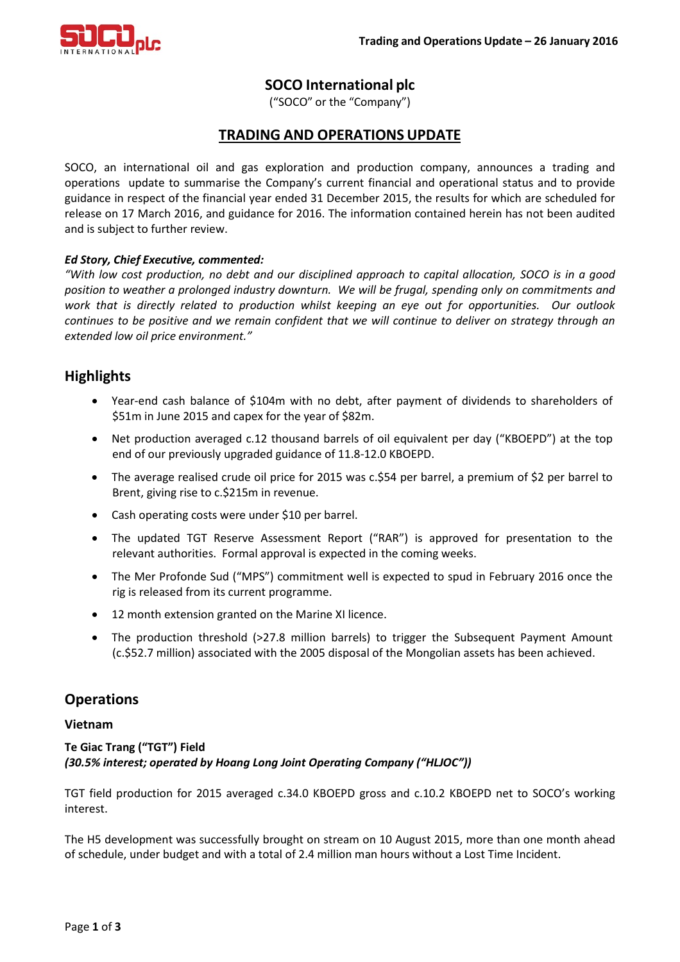

# **SOCO International plc**

("SOCO" or the "Company")

## **TRADING AND OPERATIONS UPDATE**

SOCO, an international oil and gas exploration and production company, announces a trading and operations update to summarise the Company's current financial and operational status and to provide guidance in respect of the financial year ended 31 December 2015, the results for which are scheduled for release on 17 March 2016, and guidance for 2016. The information contained herein has not been audited and is subject to further review.

## *Ed Story, Chief Executive, commented:*

*"With low cost production, no debt and our disciplined approach to capital allocation, SOCO is in a good position to weather a prolonged industry downturn. We will be frugal, spending only on commitments and work that is directly related to production whilst keeping an eye out for opportunities. Our outlook continues to be positive and we remain confident that we will continue to deliver on strategy through an extended low oil price environment."*

## **Highlights**

- Year-end cash balance of \$104m with no debt, after payment of dividends to shareholders of \$51m in June 2015 and capex for the year of \$82m.
- Net production averaged c.12 thousand barrels of oil equivalent per day ("KBOEPD") at the top end of our previously upgraded guidance of 11.8-12.0 KBOEPD.
- The average realised crude oil price for 2015 was c.\$54 per barrel, a premium of \$2 per barrel to Brent, giving rise to c.\$215m in revenue.
- Cash operating costs were under \$10 per barrel.
- The updated TGT Reserve Assessment Report ("RAR") is approved for presentation to the relevant authorities. Formal approval is expected in the coming weeks.
- The Mer Profonde Sud ("MPS") commitment well is expected to spud in February 2016 once the rig is released from its current programme.
- 12 month extension granted on the Marine XI licence.
- The production threshold (>27.8 million barrels) to trigger the Subsequent Payment Amount (c.\$52.7 million) associated with the 2005 disposal of the Mongolian assets has been achieved.

## **Operations**

### **Vietnam**

**Te Giac Trang ("TGT") Field** *(30.5% interest; operated by Hoang Long Joint Operating Company ("HLJOC"))*

TGT field production for 2015 averaged c.34.0 KBOEPD gross and c.10.2 KBOEPD net to SOCO's working interest.

The H5 development was successfully brought on stream on 10 August 2015, more than one month ahead of schedule, under budget and with a total of 2.4 million man hours without a Lost Time Incident.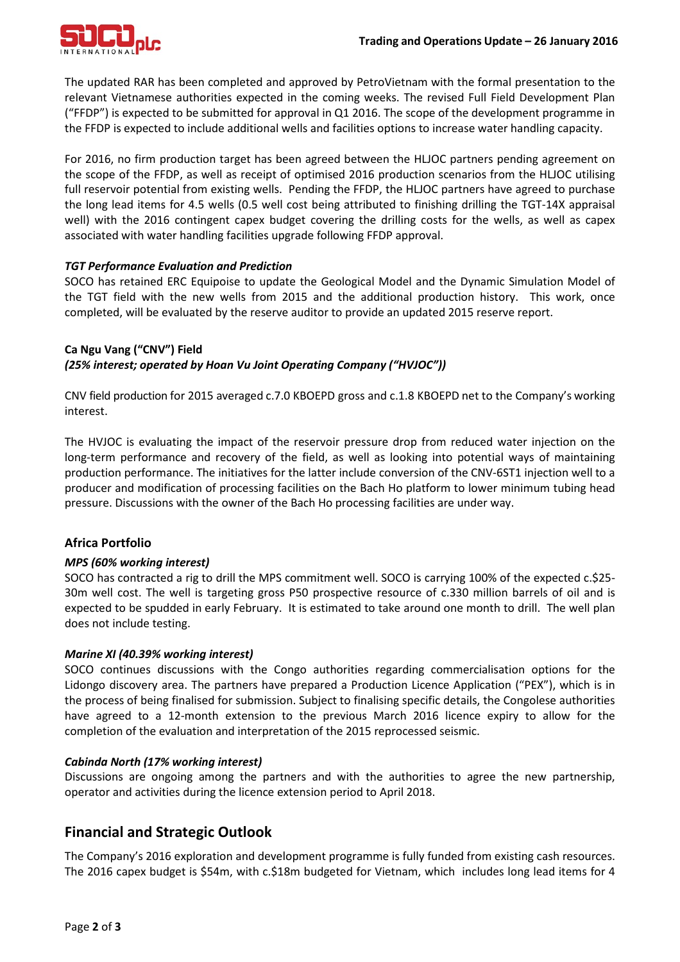

The updated RAR has been completed and approved by PetroVietnam with the formal presentation to the relevant Vietnamese authorities expected in the coming weeks. The revised Full Field Development Plan ("FFDP") is expected to be submitted for approval in Q1 2016. The scope of the development programme in the FFDP is expected to include additional wells and facilities options to increase water handling capacity.

For 2016, no firm production target has been agreed between the HLJOC partners pending agreement on the scope of the FFDP, as well as receipt of optimised 2016 production scenarios from the HLJOC utilising full reservoir potential from existing wells. Pending the FFDP, the HLJOC partners have agreed to purchase the long lead items for 4.5 wells (0.5 well cost being attributed to finishing drilling the TGT-14X appraisal well) with the 2016 contingent capex budget covering the drilling costs for the wells, as well as capex associated with water handling facilities upgrade following FFDP approval.

## *TGT Performance Evaluation and Prediction*

SOCO has retained ERC Equipoise to update the Geological Model and the Dynamic Simulation Model of the TGT field with the new wells from 2015 and the additional production history. This work, once completed, will be evaluated by the reserve auditor to provide an updated 2015 reserve report.

## **Ca Ngu Vang ("CNV") Field** *(25% interest; operated by Hoan Vu Joint Operating Company ("HVJOC"))*

CNV field production for 2015 averaged c.7.0 KBOEPD gross and c.1.8 KBOEPD net to the Company's working interest.

The HVJOC is evaluating the impact of the reservoir pressure drop from reduced water injection on the long-term performance and recovery of the field, as well as looking into potential ways of maintaining production performance. The initiatives for the latter include conversion of the CNV-6ST1 injection well to a producer and modification of processing facilities on the Bach Ho platform to lower minimum tubing head pressure. Discussions with the owner of the Bach Ho processing facilities are under way.

## **Africa Portfolio**

### *MPS (60% working interest)*

SOCO has contracted a rig to drill the MPS commitment well. SOCO is carrying 100% of the expected c.\$25- 30m well cost. The well is targeting gross P50 prospective resource of c.330 million barrels of oil and is expected to be spudded in early February. It is estimated to take around one month to drill. The well plan does not include testing.

### *Marine XI (40.39% working interest)*

SOCO continues discussions with the Congo authorities regarding commercialisation options for the Lidongo discovery area. The partners have prepared a Production Licence Application ("PEX"), which is in the process of being finalised for submission. Subject to finalising specific details, the Congolese authorities have agreed to a 12-month extension to the previous March 2016 licence expiry to allow for the completion of the evaluation and interpretation of the 2015 reprocessed seismic.

### *Cabinda North (17% working interest)*

Discussions are ongoing among the partners and with the authorities to agree the new partnership, operator and activities during the licence extension period to April 2018.

# **Financial and Strategic Outlook**

The Company's 2016 exploration and development programme is fully funded from existing cash resources. The 2016 capex budget is \$54m, with c.\$18m budgeted for Vietnam, which includes long lead items for 4